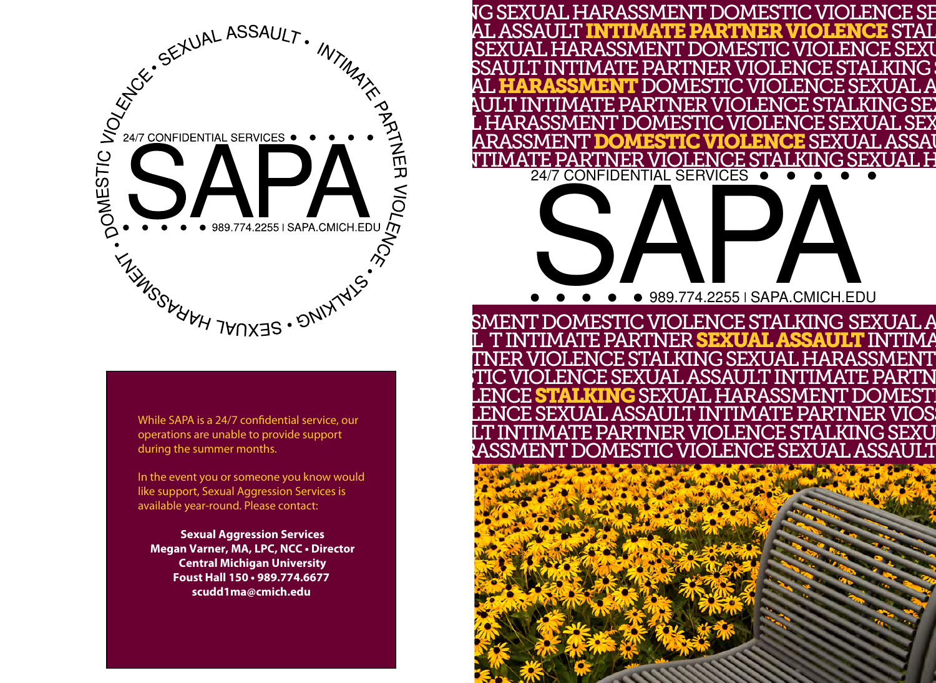

While SAPA is a 24/7 confidential service, our operations are unable to provide support during the summer months.

In the event you or someone you know would like support, Sexual Aggression Services is available year-round. Please contact:

**Sexual Aggression Services Megan Varner, MA, LPC, NCC • Director Central Michigan University Foust Hall 150 • 989.774.6677 scudd1ma@cmich.edu**

IG SEXUAL HARASSMENT DOMESTIC VIOLENCE SE<br>AL ASSAULT INTIMATE PARTNER VIOLENCE STAL<br>ISEXUAL HARASSMENT DOMESTIC VIOLENCE SEXU SEXUAL HARASSMENT DOMESTIC VIOLENCE SEXU SSAULT INTIMATE PARTNER VIOLENCE STALKING (<br>AL **HARASSMENT** DOMESTIC VIOLENCE SEXUAL A<br>AULT INTIMATE PARTNER VIOLENCE STALKING SEX<br>L HARASSMENT DOMESTIC VIOLENCE SEXUAL SEX ARASSMENT DOMESTIC VIOLENCE SEXUAL ASSAU <u>ITIMATE PARTNER VIOLENCE STALKING SEXUAL H</u> 24/7 CONFIDENTIAL SERVICES

# **SAPA CARRACTER** 989.774.2255∣SAPA.CMICH.EDU

TNER VIOLENCE STALKING SEXUAL HARASSMENT<br>TIC VIOLENCE SEXUAL ASSAULT INTIMATE PARTN LENCE STALKING SEXUAL HARASSMENT DOMESTI LENCE SEXUAL ASSAULT INTIMATE PARTNER VIOS<br>LT INTIMATE PARTNER VIOLENCE STALKING SEXU ASSMENT DOMESTIC VIOLENCE SEXUAL ASSAULT